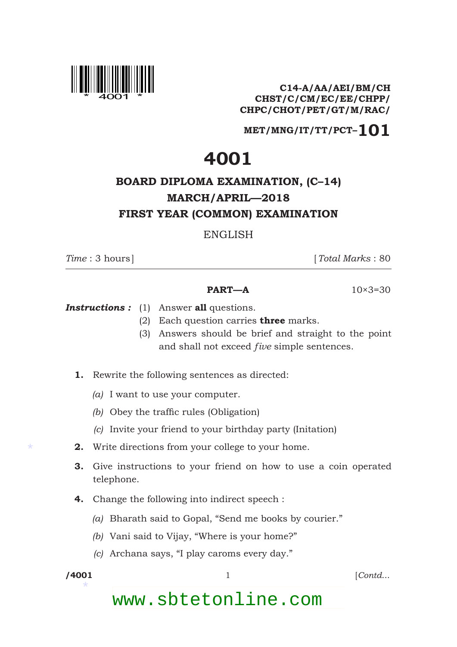

**C14-A/AA/AEI/BM/CH CHST/C/CM/EC/EE/CHPP/ CHPC/CHOT/PET/GT/M/RAC/**

**MET/MNG/IT/TT/PCT–101**

## **4001**

## **BOARD DIPLOMA EXAMINATION, (C–14) MARCH/APRIL—2018 FIRST YEAR (COMMON) EXAMINATION**

ENGLISH

*Time* : 3 hours] [*Total Marks* : 80

## **PART—A**  $10\times3=30$

- *Instructions :* (1) Answer **all** questions.
	- (2) Each question carries **three** marks.
	- (3) Answers should be brief and straight to the point and shall not exceed *five* simple sentences.
	- **1.** Rewrite the following sentences as directed:
		- *(a)* I want to use your computer.
		- *(b)* Obey the traffic rules (Obligation)
		- *(c)* Invite your friend to your birthday party (Initation)
	- **2.** Write directions from your college to your home.
	- **3.** Give instructions to your friend on how to use a coin operated telephone.
	- **4.** Change the following into indirect speech :
		- *(a)* Bharath said to Gopal, "Send me books by courier."
		- *(b)* Vani said to Vijay, "Where is your home?"
		- *(c)* Archana says, "I play caroms every day."

\*

\*

**/4001** 1 [*Contd*...

www.sbtetonline.com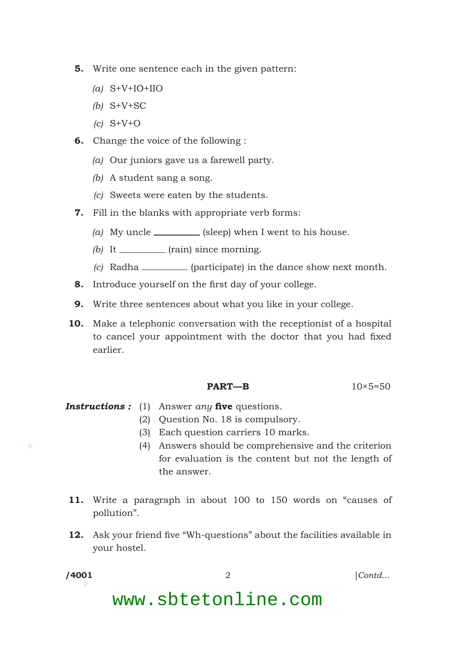- **5.** Write one sentence each in the given pattern:
- \* *(a)* S+V+IO+IIO
	- *(b)* S+V+SC
	- *(c)* S+V+O
	- **6.** Change the voice of the following :
		- *(a)* Our juniors gave us a farewell party.
		- *(b)* A student sang a song.
		- *(c)* Sweets were eaten by the students.
	- **7.** Fill in the blanks with appropriate verb forms:
		- $(a)$  My uncle  $\frac{1}{2}$  (sleep) when I went to his house.
		- *(b)* It \_\_\_\_\_\_\_\_\_ (rain) since morning.
		- *(c)* Radha (participate) in the dance show next month.
	- **8.** Introduce yourself on the first day of your college.
	- **9.** Write three sentences about what you like in your college.
- **10.** Make a telephonic conversation with the receptionist of a hospital to cancel your appointment with the doctor that you had fixed earlier.

$$
PART-B \t\t 10 \times 5=50
$$

- **Instructions :** (1) Answer *any* five questions.
	- (2) Question No. 18 is compulsory.
		- (3) Each question carriers 10 marks.
		- (4) Answers should be comprehensive and the criterion for evaluation is the content but not the length of the answer.
	- **11.** Write a paragraph in about 100 to 150 words on "causes of pollution".
	- **12.** Ask your friend five "Wh-questions" about the facilities available in your hostel.
- \*

\*

**/4001** 2 [*Contd*...

www.sbtetonline.com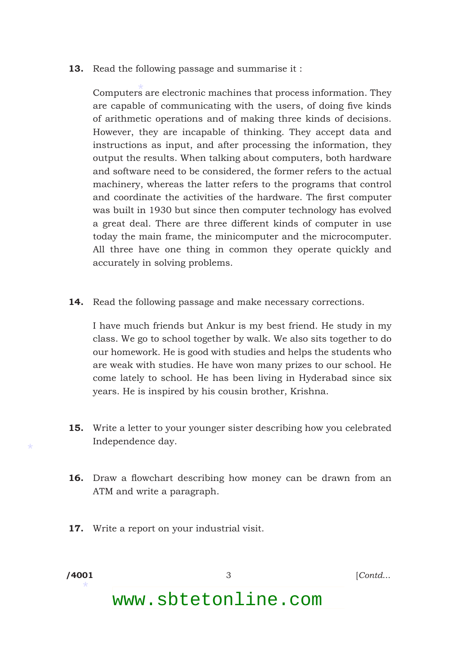**13.** Read the following passage and summarise it:

\* Computers are electronic machines that process information. They are capable of communicating with the users, of doing five kinds of arithmetic operations and of making three kinds of decisions. However, they are incapable of thinking. They accept data and instructions as input, and after processing the information, they output the results. When talking about computers, both hardware and software need to be considered, the former refers to the actual machinery, whereas the latter refers to the programs that control and coordinate the activities of the hardware. The first computer was built in 1930 but since then computer technology has evolved a great deal. There are three different kinds of computer in use today the main frame, the minicomputer and the microcomputer. All three have one thing in common they operate quickly and accurately in solving problems.

**14.** Read the following passage and make necessary corrections.

 I have much friends but Ankur is my best friend. He study in my class. We go to school together by walk. We also sits together to do our homework. He is good with studies and helps the students who are weak with studies. He have won many prizes to our school. He come lately to school. He has been living in Hyderabad since six years. He is inspired by his cousin brother, Krishna.

- **15.** Write a letter to your younger sister describing how you celebrated Independence day.
- **16.** Draw a flowchart describing how money can be drawn from an ATM and write a paragraph.
- **17.** Write a report on your industrial visit.

\*

\*

**/4001** 3 [*Contd*...

www.sbtetonline.com